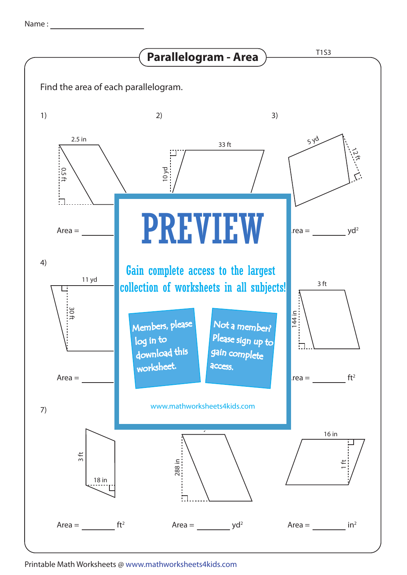